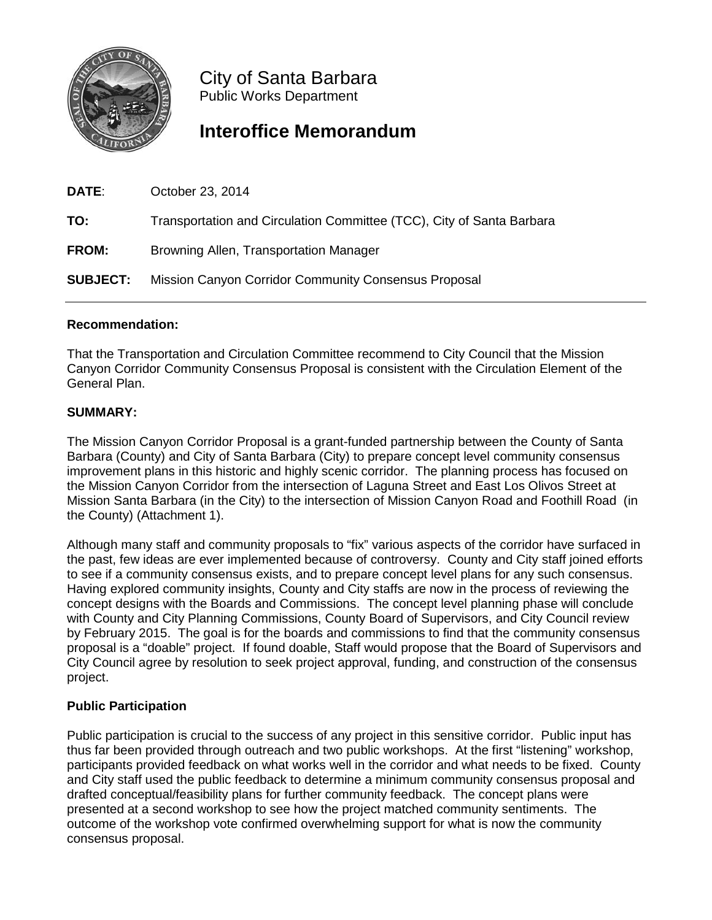

City of Santa Barbara Public Works Department

# **Interoffice Memorandum**

| DATE:           | October 23, 2014                                                      |
|-----------------|-----------------------------------------------------------------------|
| TO:             | Transportation and Circulation Committee (TCC), City of Santa Barbara |
| <b>FROM:</b>    | Browning Allen, Transportation Manager                                |
| <b>SUBJECT:</b> | Mission Canyon Corridor Community Consensus Proposal                  |

## **Recommendation:**

That the Transportation and Circulation Committee recommend to City Council that the Mission Canyon Corridor Community Consensus Proposal is consistent with the Circulation Element of the General Plan.

## **SUMMARY:**

The Mission Canyon Corridor Proposal is a grant-funded partnership between the County of Santa Barbara (County) and City of Santa Barbara (City) to prepare concept level community consensus improvement plans in this historic and highly scenic corridor. The planning process has focused on the Mission Canyon Corridor from the intersection of Laguna Street and East Los Olivos Street at Mission Santa Barbara (in the City) to the intersection of Mission Canyon Road and Foothill Road (in the County) (Attachment 1).

Although many staff and community proposals to "fix" various aspects of the corridor have surfaced in the past, few ideas are ever implemented because of controversy. County and City staff joined efforts to see if a community consensus exists, and to prepare concept level plans for any such consensus. Having explored community insights, County and City staffs are now in the process of reviewing the concept designs with the Boards and Commissions. The concept level planning phase will conclude with County and City Planning Commissions, County Board of Supervisors, and City Council review by February 2015. The goal is for the boards and commissions to find that the community consensus proposal is a "doable" project. If found doable, Staff would propose that the Board of Supervisors and City Council agree by resolution to seek project approval, funding, and construction of the consensus project.

## **Public Participation**

Public participation is crucial to the success of any project in this sensitive corridor. Public input has thus far been provided through outreach and two public workshops. At the first "listening" workshop, participants provided feedback on what works well in the corridor and what needs to be fixed. County and City staff used the public feedback to determine a minimum community consensus proposal and drafted conceptual/feasibility plans for further community feedback. The concept plans were presented at a second workshop to see how the project matched community sentiments. The outcome of the workshop vote confirmed overwhelming support for what is now the community consensus proposal.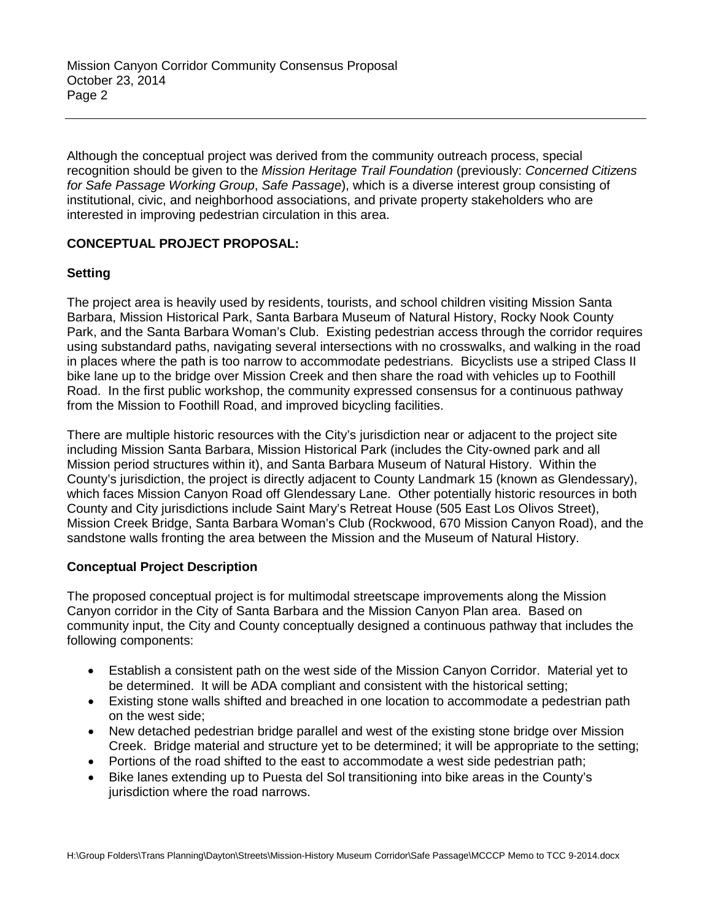Although the conceptual project was derived from the community outreach process, special recognition should be given to the *Mission Heritage Trail Foundation* (previously: *Concerned Citizens for Safe Passage Working Group*, *Safe Passage*), which is a diverse interest group consisting of institutional, civic, and neighborhood associations, and private property stakeholders who are interested in improving pedestrian circulation in this area.

## **CONCEPTUAL PROJECT PROPOSAL:**

## **Setting**

The project area is heavily used by residents, tourists, and school children visiting Mission Santa Barbara, Mission Historical Park, Santa Barbara Museum of Natural History, Rocky Nook County Park, and the Santa Barbara Woman's Club. Existing pedestrian access through the corridor requires using substandard paths, navigating several intersections with no crosswalks, and walking in the road in places where the path is too narrow to accommodate pedestrians. Bicyclists use a striped Class II bike lane up to the bridge over Mission Creek and then share the road with vehicles up to Foothill Road. In the first public workshop, the community expressed consensus for a continuous pathway from the Mission to Foothill Road, and improved bicycling facilities.

There are multiple historic resources with the City's jurisdiction near or adjacent to the project site including Mission Santa Barbara, Mission Historical Park (includes the City-owned park and all Mission period structures within it), and Santa Barbara Museum of Natural History. Within the County's jurisdiction, the project is directly adjacent to County Landmark 15 (known as Glendessary), which faces Mission Canyon Road off Glendessary Lane. Other potentially historic resources in both County and City jurisdictions include Saint Mary's Retreat House (505 East Los Olivos Street), Mission Creek Bridge, Santa Barbara Woman's Club (Rockwood, 670 Mission Canyon Road), and the sandstone walls fronting the area between the Mission and the Museum of Natural History.

### **Conceptual Project Description**

The proposed conceptual project is for multimodal streetscape improvements along the Mission Canyon corridor in the City of Santa Barbara and the Mission Canyon Plan area. Based on community input, the City and County conceptually designed a continuous pathway that includes the following components:

- Establish a consistent path on the west side of the Mission Canyon Corridor. Material yet to be determined. It will be ADA compliant and consistent with the historical setting;
- Existing stone walls shifted and breached in one location to accommodate a pedestrian path on the west side;
- New detached pedestrian bridge parallel and west of the existing stone bridge over Mission Creek. Bridge material and structure yet to be determined; it will be appropriate to the setting;
- Portions of the road shifted to the east to accommodate a west side pedestrian path;
- Bike lanes extending up to Puesta del Sol transitioning into bike areas in the County's jurisdiction where the road narrows.